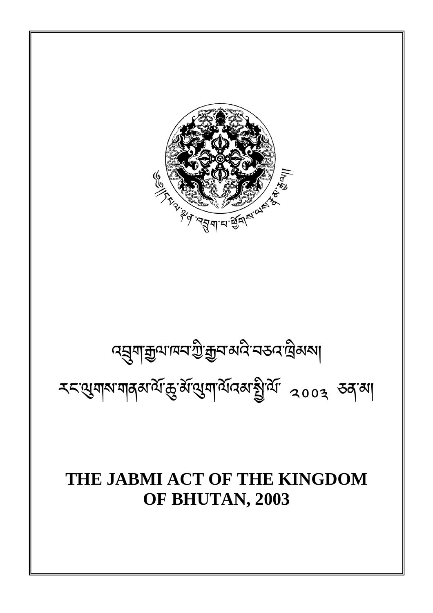# **THE JABMI ACT OF THE KINGDOM OF BHUTAN, 2003**

རང་གས་གནམ་ལོ་་མོ་ག་ལོའམ་ི་ལོ་ ༢༠༠ ཅན་མ།

# ব্য়ুশক্সুণাম্ব'শ্ৰীক্সুব'ৰ্মনী ব্ৰহ্ম ব্ৰিম্বৰ

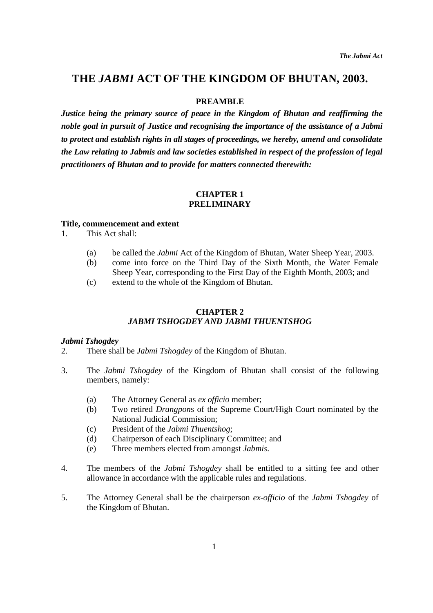# **THE** *JABMI* **ACT OF THE KINGDOM OF BHUTAN, 2003.**

# **PREAMBLE**

*Justice being the primary source of peace in the Kingdom of Bhutan and reaffirming the noble goal in pursuit of Justice and recognising the importance of the assistance of a Jabmi to protect and establish rights in all stages of proceedings, we hereby, amend and consolidate the Law relating to Jabmis and law societies established in respect of the profession of legal practitioners of Bhutan and to provide for matters connected therewith:* 

#### **CHAPTER 1 PRELIMINARY**

#### **Title, commencement and extent**

- 1. This Act shall:
	- (a) be called the *Jabmi* Act of the Kingdom of Bhutan, Water Sheep Year, 2003.
	- (b) come into force on the Third Day of the Sixth Month, the Water Female
	- Sheep Year, corresponding to the First Day of the Eighth Month, 2003; and
	- (c) extend to the whole of the Kingdom of Bhutan.

# **CHAPTER 2**  *JABMI TSHOGDEY AND JABMI THUENTSHOG*

#### *Jabmi Tshogdey*

- 2. There shall be *Jabmi Tshogdey* of the Kingdom of Bhutan.
- 3. The *Jabmi Tshogdey* of the Kingdom of Bhutan shall consist of the following members, namely:
	- (a) The Attorney General as *ex officio* member;
	- (b) Two retired *Drangpon*s of the Supreme Court/High Court nominated by the National Judicial Commission;
	- (c) President of the *Jabmi Thuentshog*;
	- (d) Chairperson of each Disciplinary Committee; and
	- (e) Three members elected from amongst *Jabmis*.
- 4. The members of the *Jabmi Tshogdey* shall be entitled to a sitting fee and other allowance in accordance with the applicable rules and regulations.
- 5. The Attorney General shall be the chairperson *ex-officio* of the *Jabmi Tshogdey* of the Kingdom of Bhutan.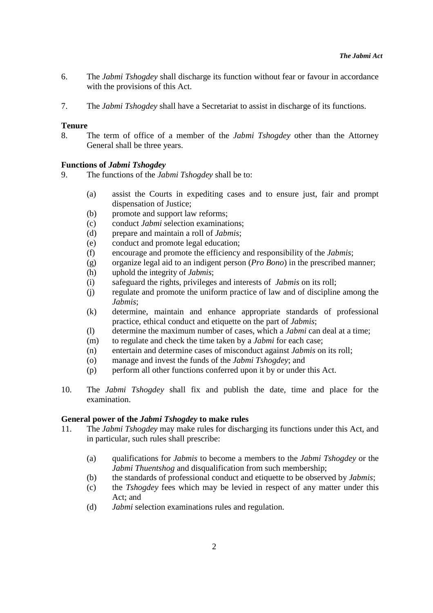- 6. The *Jabmi Tshogdey* shall discharge its function without fear or favour in accordance with the provisions of this Act.
- 7. The *Jabmi Tshogdey* shall have a Secretariat to assist in discharge of its functions.

#### **Tenure**

8. The term of office of a member of the *Jabmi Tshogdey* other than the Attorney General shall be three years.

# **Functions of** *Jabmi Tshogdey*

- 9. The functions of the *Jabmi Tshogdey* shall be to:
	- (a) assist the Courts in expediting cases and to ensure just, fair and prompt dispensation of Justice;
	- (b) promote and support law reforms;
	- (c) conduct *Jabmi* selection examinations;
	- (d) prepare and maintain a roll of *Jabmis*;
	- (e) conduct and promote legal education;
	- (f) encourage and promote the efficiency and responsibility of the *Jabmis*;
	- (g) organize legal aid to an indigent person (*Pro Bono*) in the prescribed manner;
	- (h) uphold the integrity of *Jabmis*;
	- (i) safeguard the rights, privileges and interests of *Jabmis* on its roll;
	- (j) regulate and promote the uniform practice of law and of discipline among the *Jabmis*;
	- (k) determine, maintain and enhance appropriate standards of professional practice, ethical conduct and etiquette on the part of *Jabmis*;
	- (l) determine the maximum number of cases, which a *Jabmi* can deal at a time;
	- (m) to regulate and check the time taken by a *Jabmi* for each case;
	- (n) entertain and determine cases of misconduct against *Jabmis* on its roll;
	- (o) manage and invest the funds of the *Jabmi Tshogdey*; and
	- (p) perform all other functions conferred upon it by or under this Act.
- 10. The *Jabmi Tshogdey* shall fix and publish the date, time and place for the examination.

#### **General power of the** *Jabmi Tshogdey* **to make rules**

- 11. The *Jabmi Tshogdey* may make rules for discharging its functions under this Act, and in particular, such rules shall prescribe:
	- (a) qualifications for *Jabmis* to become a members to the *Jabmi Tshogdey* or the *Jabmi Thuentshog* and disqualification from such membership:
	- (b) the standards of professional conduct and etiquette to be observed by *Jabmis*;
	- (c) the *Tshogdey* fees which may be levied in respect of any matter under this Act; and
	- (d) *Jabmi* selection examinations rules and regulation.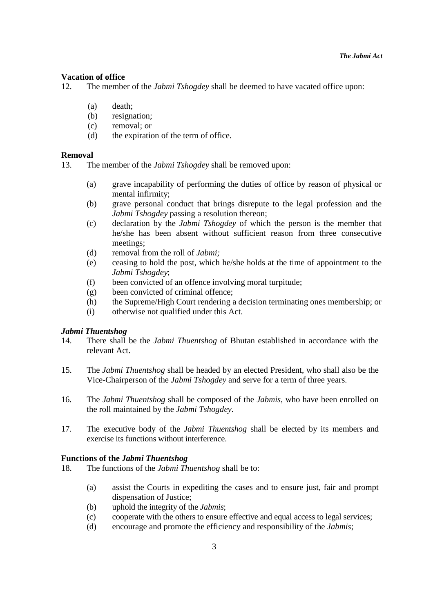#### **Vacation of office**

12. The member of the *Jabmi Tshogdey* shall be deemed to have vacated office upon:

- (a) death;
- (b) resignation;
- (c) removal; or
- (d) the expiration of the term of office.

#### **Removal**

13. The member of the *Jabmi Tshogdey* shall be removed upon:

- (a) grave incapability of performing the duties of office by reason of physical or mental infirmity;
- (b) grave personal conduct that brings disrepute to the legal profession and the *Jabmi Tshogdey* passing a resolution thereon;
- (c) declaration by the *Jabmi Tshogdey* of which the person is the member that he/she has been absent without sufficient reason from three consecutive meetings;
- (d) removal from the roll of *Jabmi;*
- (e) ceasing to hold the post, which he/she holds at the time of appointment to the *Jabmi Tshogdey*;
- (f) been convicted of an offence involving moral turpitude;
- (g) been convicted of criminal offence;
- (h) the Supreme/High Court rendering a decision terminating ones membership; or
- (i) otherwise not qualified under this Act.

#### *Jabmi Thuentshog*

- 14. There shall be the *Jabmi Thuentshog* of Bhutan established in accordance with the relevant Act.
- 15. The *Jabmi Thuentshog* shall be headed by an elected President, who shall also be the Vice-Chairperson of the *Jabmi Tshogdey* and serve for a term of three years.
- 16. The *Jabmi Thuentshog* shall be composed of the *Jabmis*, who have been enrolled on the roll maintained by the *Jabmi Tshogdey*.
- 17. The executive body of the *Jabmi Thuentshog* shall be elected by its members and exercise its functions without interference.

#### **Functions of the** *Jabmi Thuentshog*

- 18. The functions of the *Jabmi Thuentshog* shall be to:
	- (a) assist the Courts in expediting the cases and to ensure just, fair and prompt dispensation of Justice;
	- (b) uphold the integrity of the *Jabmis*;
	- (c) cooperate with the others to ensure effective and equal access to legal services;
	- (d) encourage and promote the efficiency and responsibility of the *Jabmis*;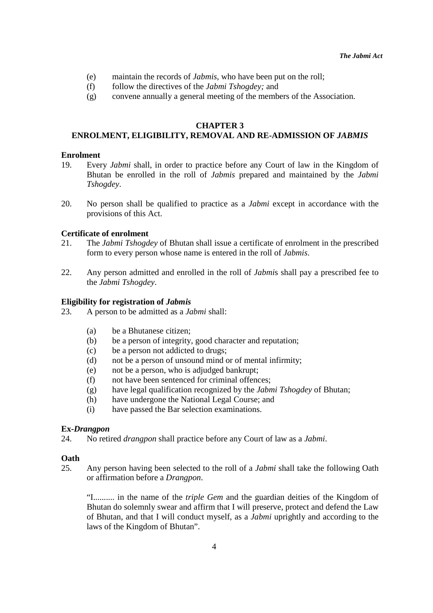- (e) maintain the records of *Jabmis*, who have been put on the roll;
- (f) follow the directives of the *Jabmi Tshogdey;* and
- (g) convene annually a general meeting of the members of the Association.

#### **CHAPTER 3**

# **ENROLMENT, ELIGIBILITY, REMOVAL AND RE-ADMISSION OF** *JABMIS*

#### **Enrolment**

- 19. Every *Jabmi* shall, in order to practice before any Court of law in the Kingdom of Bhutan be enrolled in the roll of *Jabmis* prepared and maintained by the *Jabmi Tshogdey*.
- 20. No person shall be qualified to practice as a *Jabmi* except in accordance with the provisions of this Act.

#### **Certificate of enrolment**

- 21. The *Jabmi Tshogdey* of Bhutan shall issue a certificate of enrolment in the prescribed form to every person whose name is entered in the roll of *Jabmis*.
- 22. Any person admitted and enrolled in the roll of *Jabmi*s shall pay a prescribed fee to the *Jabmi Tshogdey*.

#### **Eligibility for registration of** *Jabmis*

- 23. A person to be admitted as a *Jabmi* shall:
	- (a) be a Bhutanese citizen;
	- (b) be a person of integrity, good character and reputation;
	- (c) be a person not addicted to drugs;
	- (d) not be a person of unsound mind or of mental infirmity;
	- (e) not be a person, who is adjudged bankrupt;
	- (f) not have been sentenced for criminal offences;
	- (g) have legal qualification recognized by the *Jabmi Tshogdey* of Bhutan;
	- (h) have undergone the National Legal Course; and
	- (i) have passed the Bar selection examinations.

#### **Ex-***Drangpon*

24. No retired *drangpon* shall practice before any Court of law as a *Jabmi*.

# **Oath**

25. Any person having been selected to the roll of a *Jabmi* shall take the following Oath or affirmation before a *Drangpon*.

"I.......... in the name of the *triple Gem* and the guardian deities of the Kingdom of Bhutan do solemnly swear and affirm that I will preserve, protect and defend the Law of Bhutan, and that I will conduct myself, as a *Jabmi* uprightly and according to the laws of the Kingdom of Bhutan".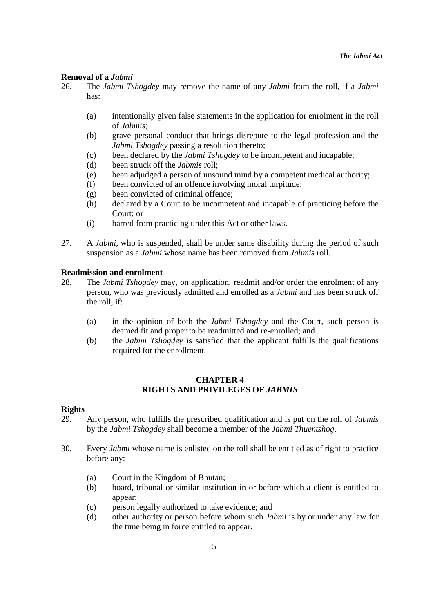# **Removal of a** *Jabmi*

- 26. The *Jabmi Tshogdey* may remove the name of any *Jabmi* from the roll, if a *Jabmi*  has:
	- (a) intentionally given false statements in the application for enrolment in the roll of *Jabmis*;
	- (b) grave personal conduct that brings disrepute to the legal profession and the *Jabmi Tshogdey* passing a resolution thereto;
	- (c) been declared by the *Jabmi Tshogdey* to be incompetent and incapable;
	- (d) been struck off the *Jabmis* roll;
	- (e) been adjudged a person of unsound mind by a competent medical authority;
	- (f) been convicted of an offence involving moral turpitude;
	- (g) been convicted of criminal offence;
	- (h) declared by a Court to be incompetent and incapable of practicing before the Court; or
	- (i) barred from practicing under this Act or other laws.
- 27. A *Jabmi*, who is suspended, shall be under same disability during the period of such suspension as a *Jabmi* whose name has been removed from *Jabmis* roll.

#### **Readmission and enrolment**

- 28. The *Jabmi Tshogdey* may, on application, readmit and/or order the enrolment of any person, who was previously admitted and enrolled as a *Jabmi* and has been struck off the roll, if:
	- (a) in the opinion of both the *Jabmi Tshogdey* and the Court, such person is deemed fit and proper to be readmitted and re-enrolled; and
	- (b) the *Jabmi Tshogdey* is satisfied that the applicant fulfills the qualifications required for the enrollment.

# **CHAPTER 4 RIGHTS AND PRIVILEGES OF** *JABMIS*

#### **Rights**

- 29. Any person, who fulfills the prescribed qualification and is put on the roll of *Jabmis* by the *Jabmi Tshogdey* shall become a member of the *Jabmi Thuentshog*.
- 30. Every *Jabmi* whose name is enlisted on the roll shall be entitled as of right to practice before any:
	- (a) Court in the Kingdom of Bhutan;
	- (b) board, tribunal or similar institution in or before which a client is entitled to appear;
	- (c) person legally authorized to take evidence; and
	- (d) other authority or person before whom such *Jabmi* is by or under any law for the time being in force entitled to appear.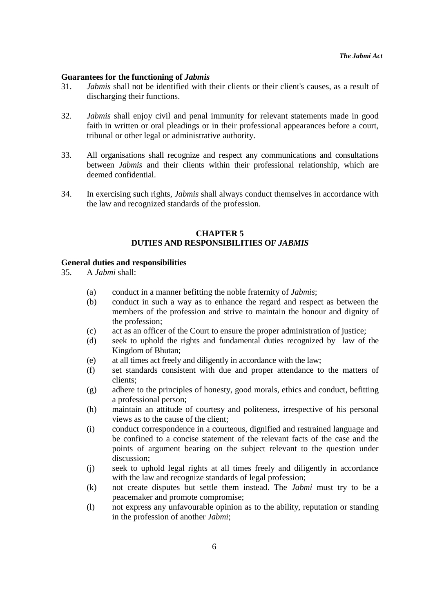#### **Guarantees for the functioning of** *Jabmis*

- 31. *Jabmis* shall not be identified with their clients or their client's causes, as a result of discharging their functions.
- 32. *Jabmis* shall enjoy civil and penal immunity for relevant statements made in good faith in written or oral pleadings or in their professional appearances before a court, tribunal or other legal or administrative authority.
- 33. All organisations shall recognize and respect any communications and consultations between *Jabmis* and their clients within their professional relationship, which are deemed confidential.
- 34. In exercising such rights, *Jabmis* shall always conduct themselves in accordance with the law and recognized standards of the profession.

#### **CHAPTER 5 DUTIES AND RESPONSIBILITIES OF** *JABMIS*

#### **General duties and responsibilities**

35. A *Jabmi* shall:

- (a) conduct in a manner befitting the noble fraternity of *Jabmis*;
- (b) conduct in such a way as to enhance the regard and respect as between the members of the profession and strive to maintain the honour and dignity of the profession;
- (c) act as an officer of the Court to ensure the proper administration of justice;
- (d) seek to uphold the rights and fundamental duties recognized by law of the Kingdom of Bhutan;
- (e) at all times act freely and diligently in accordance with the law;
- (f) set standards consistent with due and proper attendance to the matters of clients;
- (g) adhere to the principles of honesty, good morals, ethics and conduct, befitting a professional person;
- (h) maintain an attitude of courtesy and politeness, irrespective of his personal views as to the cause of the client;
- (i) conduct correspondence in a courteous, dignified and restrained language and be confined to a concise statement of the relevant facts of the case and the points of argument bearing on the subject relevant to the question under discussion;
- (j) seek to uphold legal rights at all times freely and diligently in accordance with the law and recognize standards of legal profession:
- (k) not create disputes but settle them instead. The *Jabmi* must try to be a peacemaker and promote compromise;
- (l) not express any unfavourable opinion as to the ability, reputation or standing in the profession of another *Jabmi*;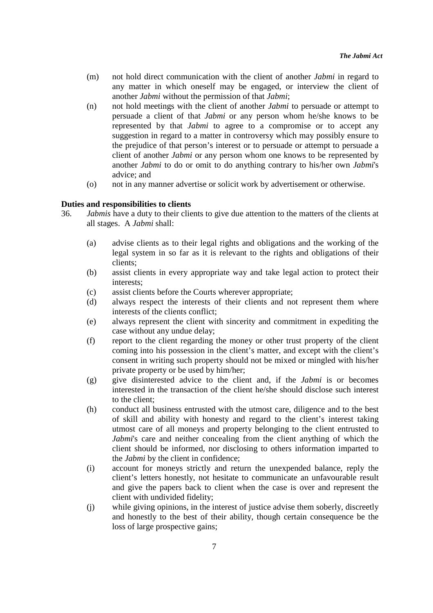- (m) not hold direct communication with the client of another *Jabmi* in regard to any matter in which oneself may be engaged, or interview the client of another *Jabmi* without the permission of that *Jabmi*;
- (n) not hold meetings with the client of another *Jabmi* to persuade or attempt to persuade a client of that *Jabmi* or any person whom he/she knows to be represented by that *Jabmi* to agree to a compromise or to accept any suggestion in regard to a matter in controversy which may possibly ensure to the prejudice of that person's interest or to persuade or attempt to persuade a client of another *Jabmi* or any person whom one knows to be represented by another *Jabmi* to do or omit to do anything contrary to his/her own *Jabmi*'s advice; and
- (o) not in any manner advertise or solicit work by advertisement or otherwise.

#### **Duties and responsibilities to clients**

- 36. *Jabmis* have a duty to their clients to give due attention to the matters of the clients at all stages. A *Jabmi* shall:
	- (a) advise clients as to their legal rights and obligations and the working of the legal system in so far as it is relevant to the rights and obligations of their clients;
	- (b) assist clients in every appropriate way and take legal action to protect their interests;
	- (c) assist clients before the Courts wherever appropriate;
	- (d) always respect the interests of their clients and not represent them where interests of the clients conflict;
	- (e) always represent the client with sincerity and commitment in expediting the case without any undue delay;
	- (f) report to the client regarding the money or other trust property of the client coming into his possession in the client's matter, and except with the client's consent in writing such property should not be mixed or mingled with his/her private property or be used by him/her;
	- (g) give disinterested advice to the client and, if the *Jabmi* is or becomes interested in the transaction of the client he/she should disclose such interest to the client;
	- (h) conduct all business entrusted with the utmost care, diligence and to the best of skill and ability with honesty and regard to the client's interest taking utmost care of all moneys and property belonging to the client entrusted to *Jabmi*'s care and neither concealing from the client anything of which the client should be informed, nor disclosing to others information imparted to the *Jabmi* by the client in confidence;
	- (i) account for moneys strictly and return the unexpended balance, reply the client's letters honestly, not hesitate to communicate an unfavourable result and give the papers back to client when the case is over and represent the client with undivided fidelity;
	- (j) while giving opinions, in the interest of justice advise them soberly, discreetly and honestly to the best of their ability, though certain consequence be the loss of large prospective gains;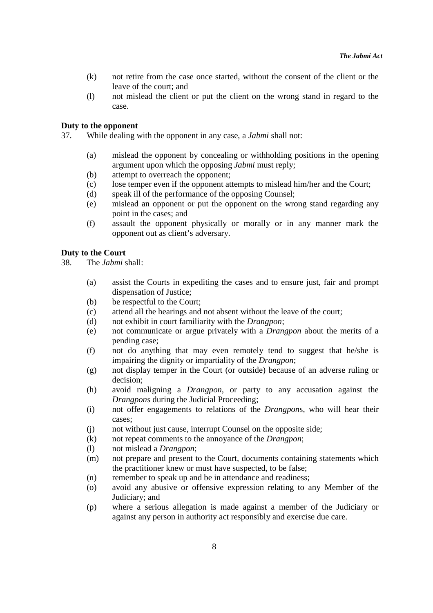- (k) not retire from the case once started, without the consent of the client or the leave of the court; and
- (l) not mislead the client or put the client on the wrong stand in regard to the case.

#### **Duty to the opponent**

- 37. While dealing with the opponent in any case, a *Jabmi* shall not:
	- (a) mislead the opponent by concealing or withholding positions in the opening argument upon which the opposing *Jabmi* must reply;
	- (b) attempt to overreach the opponent;
	- (c) lose temper even if the opponent attempts to mislead him/her and the Court;
	- (d) speak ill of the performance of the opposing Counsel;
	- (e) mislead an opponent or put the opponent on the wrong stand regarding any point in the cases; and
	- (f) assault the opponent physically or morally or in any manner mark the opponent out as client's adversary.

#### **Duty to the Court**

- 38. The *Jabmi* shall:
	- (a) assist the Courts in expediting the cases and to ensure just, fair and prompt dispensation of Justice;
	- (b) be respectful to the Court;
	- (c) attend all the hearings and not absent without the leave of the court;
	- (d) not exhibit in court familiarity with the *Drangpon*;
	- (e) not communicate or argue privately with a *Drangpon* about the merits of a pending case;
	- (f) not do anything that may even remotely tend to suggest that he/she is impairing the dignity or impartiality of the *Drangpon*;
	- (g) not display temper in the Court (or outside) because of an adverse ruling or decision;
	- (h) avoid maligning a *Drangpon*, or party to any accusation against the *Drangpons* during the Judicial Proceeding;
	- (i) not offer engagements to relations of the *Drangpon*s, who will hear their cases;
	- (j) not without just cause, interrupt Counsel on the opposite side;
	- (k) not repeat comments to the annoyance of the *Drangpon*;
	- (l) not mislead a *Drangpon*;
	- (m) not prepare and present to the Court, documents containing statements which the practitioner knew or must have suspected, to be false;
	- (n) remember to speak up and be in attendance and readiness;
	- (o) avoid any abusive or offensive expression relating to any Member of the Judiciary; and
	- (p) where a serious allegation is made against a member of the Judiciary or against any person in authority act responsibly and exercise due care.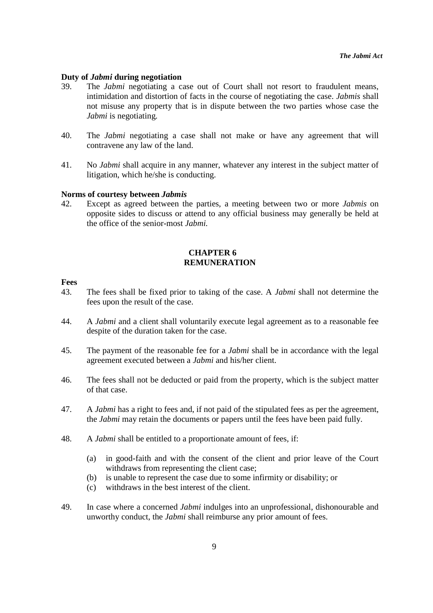#### **Duty of** *Jabmi* **during negotiation**

- 39. The *Jabmi* negotiating a case out of Court shall not resort to fraudulent means, intimidation and distortion of facts in the course of negotiating the case. *Jabmis* shall not misuse any property that is in dispute between the two parties whose case the *Jabmi* is negotiating.
- 40. The *Jabmi* negotiating a case shall not make or have any agreement that will contravene any law of the land.
- 41. No *Jabmi* shall acquire in any manner, whatever any interest in the subject matter of litigation, which he/she is conducting.

#### **Norms of courtesy between** *Jabmis*

42. Except as agreed between the parties, a meeting between two or more *Jabmis* on opposite sides to discuss or attend to any official business may generally be held at the office of the senior-most *Jabmi.*

# **CHAPTER 6 REMUNERATION**

#### **Fees**

- 43. The fees shall be fixed prior to taking of the case. A *Jabmi* shall not determine the fees upon the result of the case.
- 44. A *Jabmi* and a client shall voluntarily execute legal agreement as to a reasonable fee despite of the duration taken for the case.
- 45. The payment of the reasonable fee for a *Jabmi* shall be in accordance with the legal agreement executed between a *Jabmi* and his/her client.
- 46. The fees shall not be deducted or paid from the property, which is the subject matter of that case.
- 47. A *Jabmi* has a right to fees and, if not paid of the stipulated fees as per the agreement, the *Jabmi* may retain the documents or papers until the fees have been paid fully.
- 48. A *Jabmi* shall be entitled to a proportionate amount of fees, if:
	- (a) in good-faith and with the consent of the client and prior leave of the Court withdraws from representing the client case;
	- (b) is unable to represent the case due to some infirmity or disability; or
	- (c) withdraws in the best interest of the client.
- 49. In case where a concerned *Jabmi* indulges into an unprofessional, dishonourable and unworthy conduct, the *Jabmi* shall reimburse any prior amount of fees.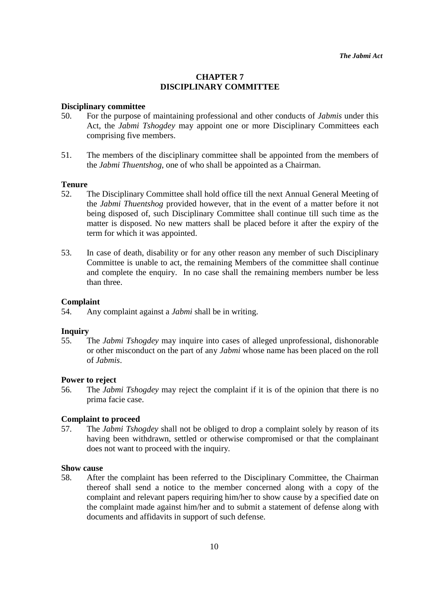# **CHAPTER 7 DISCIPLINARY COMMITTEE**

#### **Disciplinary committee**

- 50. For the purpose of maintaining professional and other conducts of *Jabmis* under this Act, the *Jabmi Tshogdey* may appoint one or more Disciplinary Committees each comprising five members.
- 51. The members of the disciplinary committee shall be appointed from the members of the *Jabmi Thuentshog*, one of who shall be appointed as a Chairman.

#### **Tenure**

- 52. The Disciplinary Committee shall hold office till the next Annual General Meeting of the *Jabmi Thuentshog* provided however, that in the event of a matter before it not being disposed of, such Disciplinary Committee shall continue till such time as the matter is disposed. No new matters shall be placed before it after the expiry of the term for which it was appointed.
- 53. In case of death, disability or for any other reason any member of such Disciplinary Committee is unable to act, the remaining Members of the committee shall continue and complete the enquiry. In no case shall the remaining members number be less than three.

#### **Complaint**

54. Any complaint against a *Jabmi* shall be in writing.

#### **Inquiry**

55. The *Jabmi Tshogdey* may inquire into cases of alleged unprofessional, dishonorable or other misconduct on the part of any *Jabmi* whose name has been placed on the roll of *Jabmis*.

# **Power to reject**

56. The *Jabmi Tshogdey* may reject the complaint if it is of the opinion that there is no prima facie case.

#### **Complaint to proceed**

57. The *Jabmi Tshogdey* shall not be obliged to drop a complaint solely by reason of its having been withdrawn, settled or otherwise compromised or that the complainant does not want to proceed with the inquiry.

#### **Show cause**

58. After the complaint has been referred to the Disciplinary Committee, the Chairman thereof shall send a notice to the member concerned along with a copy of the complaint and relevant papers requiring him/her to show cause by a specified date on the complaint made against him/her and to submit a statement of defense along with documents and affidavits in support of such defense.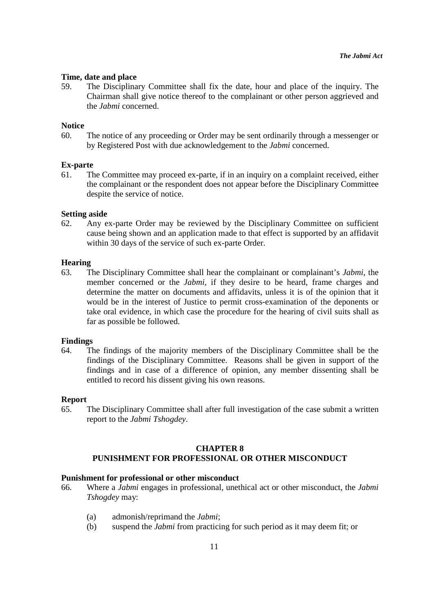#### **Time, date and place**

59. The Disciplinary Committee shall fix the date, hour and place of the inquiry. The Chairman shall give notice thereof to the complainant or other person aggrieved and the *Jabmi* concerned.

#### **Notice**

60. The notice of any proceeding or Order may be sent ordinarily through a messenger or by Registered Post with due acknowledgement to the *Jabmi* concerned.

#### **Ex-parte**

61. The Committee may proceed ex-parte, if in an inquiry on a complaint received, either the complainant or the respondent does not appear before the Disciplinary Committee despite the service of notice.

#### **Setting aside**

62. Any ex-parte Order may be reviewed by the Disciplinary Committee on sufficient cause being shown and an application made to that effect is supported by an affidavit within 30 days of the service of such ex-parte Order.

#### **Hearing**

63. The Disciplinary Committee shall hear the complainant or complainant's *Jabmi*, the member concerned or the *Jabmi*, if they desire to be heard, frame charges and determine the matter on documents and affidavits, unless it is of the opinion that it would be in the interest of Justice to permit cross-examination of the deponents or take oral evidence, in which case the procedure for the hearing of civil suits shall as far as possible be followed.

#### **Findings**

64. The findings of the majority members of the Disciplinary Committee shall be the findings of the Disciplinary Committee. Reasons shall be given in support of the findings and in case of a difference of opinion, any member dissenting shall be entitled to record his dissent giving his own reasons.

#### **Report**

65. The Disciplinary Committee shall after full investigation of the case submit a written report to the *Jabmi Tshogdey*.

# **CHAPTER 8 PUNISHMENT FOR PROFESSIONAL OR OTHER MISCONDUCT**

#### **Punishment for professional or other misconduct**

- 66. Where a *Jabmi* engages in professional, unethical act or other misconduct, the *Jabmi Tshogdey* may:
	- (a) admonish/reprimand the *Jabmi*;
	- (b) suspend the *Jabmi* from practicing for such period as it may deem fit; or